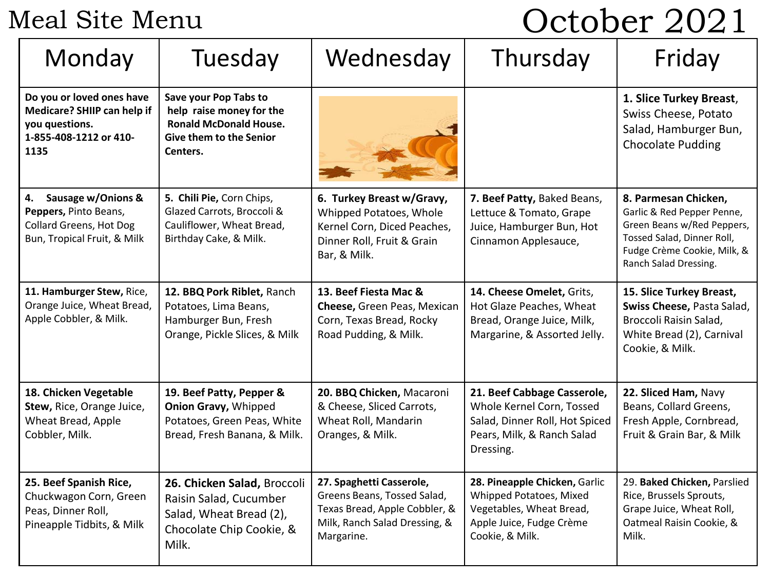Meal Site Menu

# October 2021

| Monday                                                                                                             | Tuesday                                                                                                                          | Wednesday                                                                                                                               | Thursday                                                                                                                              | Friday                                                                                                                                                                 |
|--------------------------------------------------------------------------------------------------------------------|----------------------------------------------------------------------------------------------------------------------------------|-----------------------------------------------------------------------------------------------------------------------------------------|---------------------------------------------------------------------------------------------------------------------------------------|------------------------------------------------------------------------------------------------------------------------------------------------------------------------|
| Do you or loved ones have<br>Medicare? SHIIP can help if<br>you questions.<br>1-855-408-1212 or 410-<br>1135       | Save your Pop Tabs to<br>help raise money for the<br><b>Ronald McDonald House.</b><br><b>Give them to the Senior</b><br>Centers. |                                                                                                                                         |                                                                                                                                       | 1. Slice Turkey Breast,<br>Swiss Cheese, Potato<br>Salad, Hamburger Bun,<br><b>Chocolate Pudding</b>                                                                   |
| Sausage w/Onions &<br>4.<br>Peppers, Pinto Beans,<br><b>Collard Greens, Hot Dog</b><br>Bun, Tropical Fruit, & Milk | 5. Chili Pie, Corn Chips,<br>Glazed Carrots, Broccoli &<br>Cauliflower, Wheat Bread,<br>Birthday Cake, & Milk.                   | 6. Turkey Breast w/Gravy,<br>Whipped Potatoes, Whole<br>Kernel Corn, Diced Peaches,<br>Dinner Roll, Fruit & Grain<br>Bar, & Milk.       | 7. Beef Patty, Baked Beans,<br>Lettuce & Tomato, Grape<br>Juice, Hamburger Bun, Hot<br>Cinnamon Applesauce,                           | 8. Parmesan Chicken,<br>Garlic & Red Pepper Penne,<br>Green Beans w/Red Peppers,<br>Tossed Salad, Dinner Roll,<br>Fudge Crème Cookie, Milk, &<br>Ranch Salad Dressing. |
| 11. Hamburger Stew, Rice,<br>Orange Juice, Wheat Bread,<br>Apple Cobbler, & Milk.                                  | 12. BBQ Pork Riblet, Ranch<br>Potatoes, Lima Beans,<br>Hamburger Bun, Fresh<br>Orange, Pickle Slices, & Milk                     | 13. Beef Fiesta Mac &<br>Cheese, Green Peas, Mexican<br>Corn, Texas Bread, Rocky<br>Road Pudding, & Milk.                               | 14. Cheese Omelet, Grits,<br>Hot Glaze Peaches, Wheat<br>Bread, Orange Juice, Milk,<br>Margarine, & Assorted Jelly.                   | 15. Slice Turkey Breast,<br>Swiss Cheese, Pasta Salad,<br>Broccoli Raisin Salad,<br>White Bread (2), Carnival<br>Cookie, & Milk.                                       |
| 18. Chicken Vegetable<br>Stew, Rice, Orange Juice,<br>Wheat Bread, Apple<br>Cobbler, Milk.                         | 19. Beef Patty, Pepper &<br><b>Onion Gravy, Whipped</b><br>Potatoes, Green Peas, White<br>Bread, Fresh Banana, & Milk.           | 20. BBQ Chicken, Macaroni<br>& Cheese, Sliced Carrots,<br>Wheat Roll, Mandarin<br>Oranges, & Milk.                                      | 21. Beef Cabbage Casserole,<br>Whole Kernel Corn, Tossed<br>Salad, Dinner Roll, Hot Spiced<br>Pears, Milk, & Ranch Salad<br>Dressing. | 22. Sliced Ham, Navy<br>Beans, Collard Greens,<br>Fresh Apple, Cornbread,<br>Fruit & Grain Bar, & Milk                                                                 |
| 25. Beef Spanish Rice,<br>Chuckwagon Corn, Green<br>Peas, Dinner Roll,<br>Pineapple Tidbits, & Milk                | 26. Chicken Salad, Broccoli<br>Raisin Salad, Cucumber<br>Salad, Wheat Bread (2),<br>Chocolate Chip Cookie, &<br>Milk.            | 27. Spaghetti Casserole,<br>Greens Beans, Tossed Salad,<br>Texas Bread, Apple Cobbler, &<br>Milk, Ranch Salad Dressing, &<br>Margarine. | 28. Pineapple Chicken, Garlic<br>Whipped Potatoes, Mixed<br>Vegetables, Wheat Bread,<br>Apple Juice, Fudge Crème<br>Cookie, & Milk.   | 29. Baked Chicken, Parslied<br>Rice, Brussels Sprouts,<br>Grape Juice, Wheat Roll,<br>Oatmeal Raisin Cookie, &<br>Milk.                                                |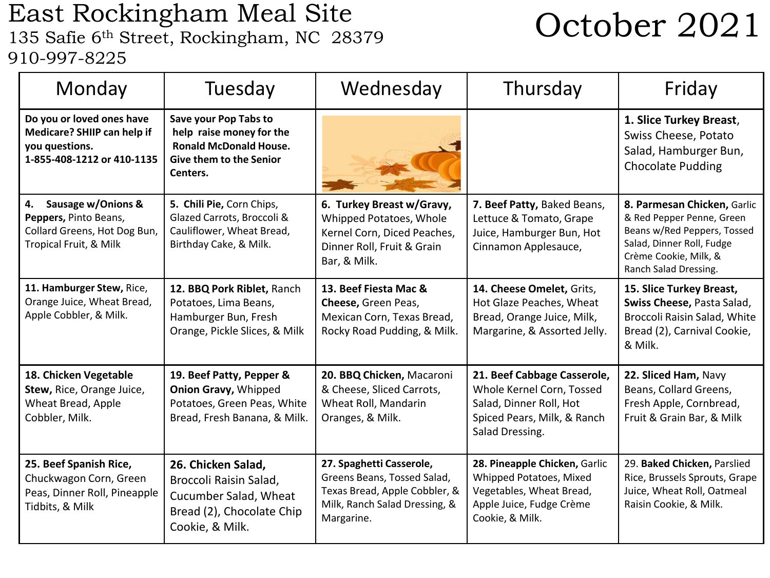## East Rockingham Meal Site East Rockingham Meal Site<br>135 Safie 6<sup>th</sup> Street, Rockingham, NC 28379 **October 2021** 910-997-8225

| Monday                                                                                                      | Tuesday                                                                                                                   | Wednesday                                                                                                                               | Thursday                                                                                                                              | Friday                                                                                                                                                                 |
|-------------------------------------------------------------------------------------------------------------|---------------------------------------------------------------------------------------------------------------------------|-----------------------------------------------------------------------------------------------------------------------------------------|---------------------------------------------------------------------------------------------------------------------------------------|------------------------------------------------------------------------------------------------------------------------------------------------------------------------|
| Do you or loved ones have<br>Medicare? SHIIP can help if<br>you questions.<br>1-855-408-1212 or 410-1135    | Save your Pop Tabs to<br>help raise money for the<br><b>Ronald McDonald House.</b><br>Give them to the Senior<br>Centers. |                                                                                                                                         |                                                                                                                                       | 1. Slice Turkey Breast,<br>Swiss Cheese, Potato<br>Salad, Hamburger Bun,<br><b>Chocolate Pudding</b>                                                                   |
| Sausage w/Onions &<br>4.<br>Peppers, Pinto Beans,<br>Collard Greens, Hot Dog Bun,<br>Tropical Fruit, & Milk | 5. Chili Pie, Corn Chips,<br>Glazed Carrots, Broccoli &<br>Cauliflower, Wheat Bread,<br>Birthday Cake, & Milk.            | 6. Turkey Breast w/Gravy,<br>Whipped Potatoes, Whole<br>Kernel Corn, Diced Peaches,<br>Dinner Roll, Fruit & Grain<br>Bar, & Milk.       | 7. Beef Patty, Baked Beans,<br>Lettuce & Tomato, Grape<br>Juice, Hamburger Bun, Hot<br>Cinnamon Applesauce,                           | 8. Parmesan Chicken, Garlic<br>& Red Pepper Penne, Green<br>Beans w/Red Peppers, Tossed<br>Salad, Dinner Roll, Fudge<br>Crème Cookie, Milk, &<br>Ranch Salad Dressing. |
| 11. Hamburger Stew, Rice,<br>Orange Juice, Wheat Bread,<br>Apple Cobbler, & Milk.                           | 12. BBQ Pork Riblet, Ranch<br>Potatoes, Lima Beans,<br>Hamburger Bun, Fresh<br>Orange, Pickle Slices, & Milk              | 13. Beef Fiesta Mac &<br>Cheese, Green Peas,<br>Mexican Corn, Texas Bread,<br>Rocky Road Pudding, & Milk.                               | 14. Cheese Omelet, Grits,<br>Hot Glaze Peaches, Wheat<br>Bread, Orange Juice, Milk,<br>Margarine, & Assorted Jelly.                   | 15. Slice Turkey Breast,<br>Swiss Cheese, Pasta Salad,<br>Broccoli Raisin Salad, White<br>Bread (2), Carnival Cookie,<br>& Milk.                                       |
| 18. Chicken Vegetable<br>Stew, Rice, Orange Juice,<br>Wheat Bread, Apple<br>Cobbler, Milk.                  | 19. Beef Patty, Pepper &<br><b>Onion Gravy, Whipped</b><br>Potatoes, Green Peas, White<br>Bread, Fresh Banana, & Milk.    | 20. BBQ Chicken, Macaroni<br>& Cheese, Sliced Carrots,<br>Wheat Roll, Mandarin<br>Oranges, & Milk.                                      | 21. Beef Cabbage Casserole,<br>Whole Kernel Corn, Tossed<br>Salad, Dinner Roll, Hot<br>Spiced Pears, Milk, & Ranch<br>Salad Dressing. | 22. Sliced Ham, Navy<br>Beans, Collard Greens,<br>Fresh Apple, Cornbread,<br>Fruit & Grain Bar, & Milk                                                                 |
| 25. Beef Spanish Rice,<br>Chuckwagon Corn, Green<br>Peas, Dinner Roll, Pineapple<br>Tidbits, & Milk         | 26. Chicken Salad,<br>Broccoli Raisin Salad,<br>Cucumber Salad, Wheat<br>Bread (2), Chocolate Chip<br>Cookie, & Milk.     | 27. Spaghetti Casserole,<br>Greens Beans, Tossed Salad,<br>Texas Bread, Apple Cobbler, &<br>Milk, Ranch Salad Dressing, &<br>Margarine. | 28. Pineapple Chicken, Garlic<br>Whipped Potatoes, Mixed<br>Vegetables, Wheat Bread,<br>Apple Juice, Fudge Crème<br>Cookie, & Milk.   | 29. Baked Chicken, Parslied<br>Rice, Brussels Sprouts, Grape<br>Juice, Wheat Roll, Oatmeal<br>Raisin Cookie, & Milk.                                                   |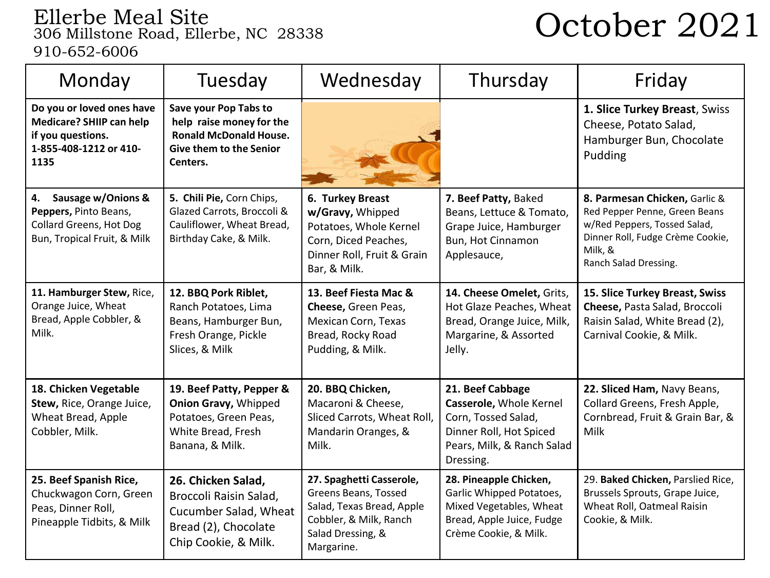# Ellerbe Meal Site 306 Millstone Road, Ellerbe, NC 28338 October 2021 910-652-6006

| Monday                                                                                                              | Tuesday                                                                                                                          | Wednesday                                                                                                                                  | Thursday                                                                                                                                 | Friday                                                                                                                                                                 |
|---------------------------------------------------------------------------------------------------------------------|----------------------------------------------------------------------------------------------------------------------------------|--------------------------------------------------------------------------------------------------------------------------------------------|------------------------------------------------------------------------------------------------------------------------------------------|------------------------------------------------------------------------------------------------------------------------------------------------------------------------|
| Do you or loved ones have<br><b>Medicare? SHIIP can help</b><br>if you questions.<br>1-855-408-1212 or 410-<br>1135 | Save your Pop Tabs to<br>help raise money for the<br><b>Ronald McDonald House.</b><br><b>Give them to the Senior</b><br>Centers. |                                                                                                                                            |                                                                                                                                          | 1. Slice Turkey Breast, Swiss<br>Cheese, Potato Salad,<br>Hamburger Bun, Chocolate<br>Pudding                                                                          |
| Sausage w/Onions &<br>4.<br>Peppers, Pinto Beans,<br><b>Collard Greens, Hot Dog</b><br>Bun, Tropical Fruit, & Milk  | 5. Chili Pie, Corn Chips,<br>Glazed Carrots, Broccoli &<br>Cauliflower, Wheat Bread,<br>Birthday Cake, & Milk.                   | 6. Turkey Breast<br>w/Gravy, Whipped<br>Potatoes, Whole Kernel<br>Corn, Diced Peaches,<br>Dinner Roll, Fruit & Grain<br>Bar, & Milk.       | 7. Beef Patty, Baked<br>Beans, Lettuce & Tomato,<br>Grape Juice, Hamburger<br>Bun, Hot Cinnamon<br>Applesauce,                           | 8. Parmesan Chicken, Garlic &<br>Red Pepper Penne, Green Beans<br>w/Red Peppers, Tossed Salad,<br>Dinner Roll, Fudge Crème Cookie,<br>Milk, &<br>Ranch Salad Dressing. |
| 11. Hamburger Stew, Rice,<br>Orange Juice, Wheat<br>Bread, Apple Cobbler, &<br>Milk.                                | 12. BBQ Pork Riblet,<br>Ranch Potatoes, Lima<br>Beans, Hamburger Bun,<br>Fresh Orange, Pickle<br>Slices, & Milk                  | 13. Beef Fiesta Mac &<br>Cheese, Green Peas,<br>Mexican Corn, Texas<br>Bread, Rocky Road<br>Pudding, & Milk.                               | 14. Cheese Omelet, Grits,<br>Hot Glaze Peaches, Wheat<br>Bread, Orange Juice, Milk,<br>Margarine, & Assorted<br>Jelly.                   | 15. Slice Turkey Breast, Swiss<br>Cheese, Pasta Salad, Broccoli<br>Raisin Salad, White Bread (2),<br>Carnival Cookie, & Milk.                                          |
| 18. Chicken Vegetable<br>Stew, Rice, Orange Juice,<br>Wheat Bread, Apple<br>Cobbler, Milk.                          | 19. Beef Patty, Pepper &<br><b>Onion Gravy, Whipped</b><br>Potatoes, Green Peas,<br>White Bread, Fresh<br>Banana, & Milk.        | 20. BBQ Chicken,<br>Macaroni & Cheese,<br>Sliced Carrots, Wheat Roll,<br>Mandarin Oranges, &<br>Milk.                                      | 21. Beef Cabbage<br>Casserole, Whole Kernel<br>Corn, Tossed Salad,<br>Dinner Roll, Hot Spiced<br>Pears, Milk, & Ranch Salad<br>Dressing. | 22. Sliced Ham, Navy Beans,<br>Collard Greens, Fresh Apple,<br>Cornbread, Fruit & Grain Bar, &<br>Milk                                                                 |
| 25. Beef Spanish Rice,<br>Chuckwagon Corn, Green<br>Peas, Dinner Roll,<br>Pineapple Tidbits, & Milk                 | 26. Chicken Salad,<br>Broccoli Raisin Salad,<br>Cucumber Salad, Wheat<br>Bread (2), Chocolate<br>Chip Cookie, & Milk.            | 27. Spaghetti Casserole,<br>Greens Beans, Tossed<br>Salad, Texas Bread, Apple<br>Cobbler, & Milk, Ranch<br>Salad Dressing, &<br>Margarine. | 28. Pineapple Chicken,<br>Garlic Whipped Potatoes,<br>Mixed Vegetables, Wheat<br>Bread, Apple Juice, Fudge<br>Crème Cookie, & Milk.      | 29. Baked Chicken, Parslied Rice,<br>Brussels Sprouts, Grape Juice,<br>Wheat Roll, Oatmeal Raisin<br>Cookie, & Milk.                                                   |